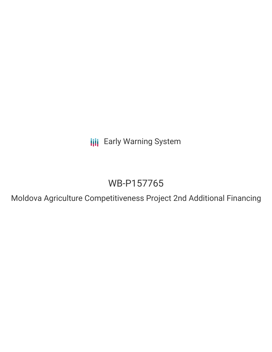**III** Early Warning System

# WB-P157765

Moldova Agriculture Competitiveness Project 2nd Additional Financing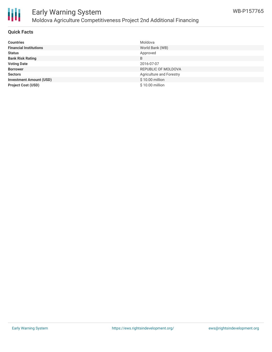

# Early Warning System Moldova Agriculture Competitiveness Project 2nd Additional Financing

#### **Quick Facts**

| <b>Countries</b>               | Moldova                  |
|--------------------------------|--------------------------|
| <b>Financial Institutions</b>  | World Bank (WB)          |
| <b>Status</b>                  | Approved                 |
| <b>Bank Risk Rating</b>        | B                        |
| <b>Voting Date</b>             | 2016-07-07               |
| <b>Borrower</b>                | REPUBLIC OF MOLDOVA      |
| <b>Sectors</b>                 | Agriculture and Forestry |
| <b>Investment Amount (USD)</b> | \$10.00 million          |
| <b>Project Cost (USD)</b>      | \$10.00 million          |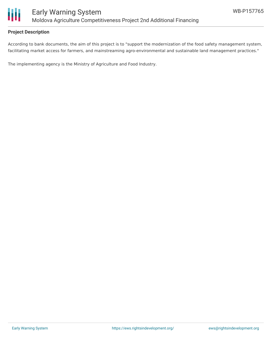

### **Project Description**

According to bank documents, the aim of this project is to "support the modernization of the food safety management system, facilitating market access for farmers, and mainstreaming agro-environmental and sustainable land management practices."

The implementing agency is the Ministry of Agriculture and Food Industry.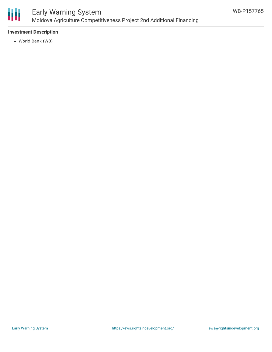

# Early Warning System Moldova Agriculture Competitiveness Project 2nd Additional Financing

### **Investment Description**

World Bank (WB)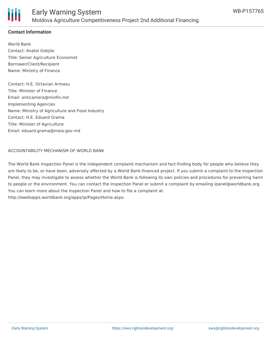

### **Contact Information**

World Bank Contact: Anatol Gobjila Title: Senior Agriculture Economist Borrower/Client/Recipient Name: Ministry of Finance

Contact: H.E. Octavian Armasu Title: Minister of Finance Email: anticamera@minfin.md Implementing Agencies Name: Ministry of Agriculture and Food Industry Contact: H.E. Eduard Grama Title: Minister of Agriculture Email: eduard.grama@maia.gov.md

#### ACCOUNTABILITY MECHANISM OF WORLD BANK

The World Bank Inspection Panel is the independent complaint mechanism and fact-finding body for people who believe they are likely to be, or have been, adversely affected by a World Bank-financed project. If you submit a complaint to the Inspection Panel, they may investigate to assess whether the World Bank is following its own policies and procedures for preventing harm to people or the environment. You can contact the Inspection Panel or submit a complaint by emailing ipanel@worldbank.org. You can learn more about the Inspection Panel and how to file a complaint at: http://ewebapps.worldbank.org/apps/ip/Pages/Home.aspx.